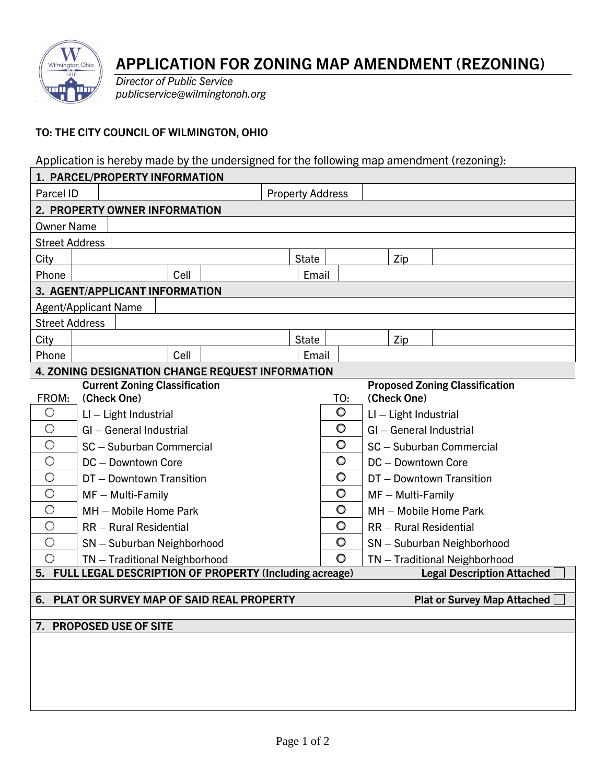

## **APPLICATION FOR ZONING MAP AMENDMENT (REZONING)**

*Director of Public Service publicservice@wilmingtonoh.org*

## **TO: THE CITY COUNCIL OF WILMINGTON, OHIO**

Application is hereby made by the undersigned for the following map amendment (rezoning):

| 1. PARCEL/PROPERTY INFORMATION                                                                    |                                                                               |  |       |      |  |  |              |         |     |                               |     |  |  |
|---------------------------------------------------------------------------------------------------|-------------------------------------------------------------------------------|--|-------|------|--|--|--------------|---------|-----|-------------------------------|-----|--|--|
| Parcel ID                                                                                         | <b>Property Address</b>                                                       |  |       |      |  |  |              |         |     |                               |     |  |  |
| 2. PROPERTY OWNER INFORMATION                                                                     |                                                                               |  |       |      |  |  |              |         |     |                               |     |  |  |
| <b>Owner Name</b>                                                                                 |                                                                               |  |       |      |  |  |              |         |     |                               |     |  |  |
| <b>Street Address</b>                                                                             |                                                                               |  |       |      |  |  |              |         |     |                               |     |  |  |
| City                                                                                              | <b>State</b>                                                                  |  |       |      |  |  |              |         |     |                               | Zip |  |  |
| Phone                                                                                             |                                                                               |  | Email |      |  |  |              |         |     |                               |     |  |  |
| 3. AGENT/APPLICANT INFORMATION                                                                    |                                                                               |  |       |      |  |  |              |         |     |                               |     |  |  |
| <b>Agent/Applicant Name</b>                                                                       |                                                                               |  |       |      |  |  |              |         |     |                               |     |  |  |
| <b>Street Address</b>                                                                             |                                                                               |  |       |      |  |  |              |         |     |                               |     |  |  |
| City                                                                                              |                                                                               |  |       |      |  |  | <b>State</b> |         |     |                               | Zip |  |  |
| Phone                                                                                             |                                                                               |  |       | Cell |  |  | Email        |         |     |                               |     |  |  |
| 4. ZONING DESIGNATION CHANGE REQUEST INFORMATION                                                  |                                                                               |  |       |      |  |  |              |         |     |                               |     |  |  |
|                                                                                                   | <b>Current Zoning Classification</b><br><b>Proposed Zoning Classification</b> |  |       |      |  |  |              |         |     |                               |     |  |  |
| FROM:                                                                                             | (Check One)                                                                   |  |       |      |  |  |              |         | TO: | (Check One)                   |     |  |  |
| $\bigcirc$                                                                                        | $LI - Light$ Industrial                                                       |  |       |      |  |  |              | O       |     | $LI - Light$ Industrial       |     |  |  |
| $\bigcirc$                                                                                        | GI - General Industrial                                                       |  |       |      |  |  |              | $\circ$ |     | GI - General Industrial       |     |  |  |
| $\bigcirc$                                                                                        | SC - Suburban Commercial                                                      |  |       |      |  |  |              | O       |     | SC - Suburban Commercial      |     |  |  |
| $\bigcirc$                                                                                        | DC - Downtown Core                                                            |  |       |      |  |  |              | $\circ$ |     | DC - Downtown Core            |     |  |  |
| $\bigcirc$                                                                                        | DT - Downtown Transition                                                      |  |       |      |  |  |              | $\circ$ |     | DT - Downtown Transition      |     |  |  |
| $\bigcirc$                                                                                        | $MF - Multi-Family$                                                           |  |       |      |  |  |              | $\circ$ |     | $MF - Multi-Family$           |     |  |  |
| $\bigcirc$                                                                                        | MH - Mobile Home Park                                                         |  |       |      |  |  |              | O       |     | MH - Mobile Home Park         |     |  |  |
| $\bigcirc$                                                                                        | RR - Rural Residential                                                        |  |       |      |  |  |              | $\circ$ |     | RR - Rural Residential        |     |  |  |
| $\bigcirc$                                                                                        | SN - Suburban Neighborhood                                                    |  |       |      |  |  |              | $\circ$ |     | SN - Suburban Neighborhood    |     |  |  |
| $\bigcirc$                                                                                        | TN - Traditional Neighborhood                                                 |  |       |      |  |  |              | $\circ$ |     | TN - Traditional Neighborhood |     |  |  |
| FULL LEGAL DESCRIPTION OF PROPERTY (Including acreage)<br>5.<br><b>Legal Description Attached</b> |                                                                               |  |       |      |  |  |              |         |     |                               |     |  |  |
| PLAT OR SURVEY MAP OF SAID REAL PROPERTY<br>6.<br><b>Plat or Survey Map Attached</b>              |                                                                               |  |       |      |  |  |              |         |     |                               |     |  |  |
|                                                                                                   |                                                                               |  |       |      |  |  |              |         |     |                               |     |  |  |
| <b>PROPOSED USE OF SITE</b><br>7.                                                                 |                                                                               |  |       |      |  |  |              |         |     |                               |     |  |  |
|                                                                                                   |                                                                               |  |       |      |  |  |              |         |     |                               |     |  |  |
|                                                                                                   |                                                                               |  |       |      |  |  |              |         |     |                               |     |  |  |
|                                                                                                   |                                                                               |  |       |      |  |  |              |         |     |                               |     |  |  |
|                                                                                                   |                                                                               |  |       |      |  |  |              |         |     |                               |     |  |  |
|                                                                                                   |                                                                               |  |       |      |  |  |              |         |     |                               |     |  |  |